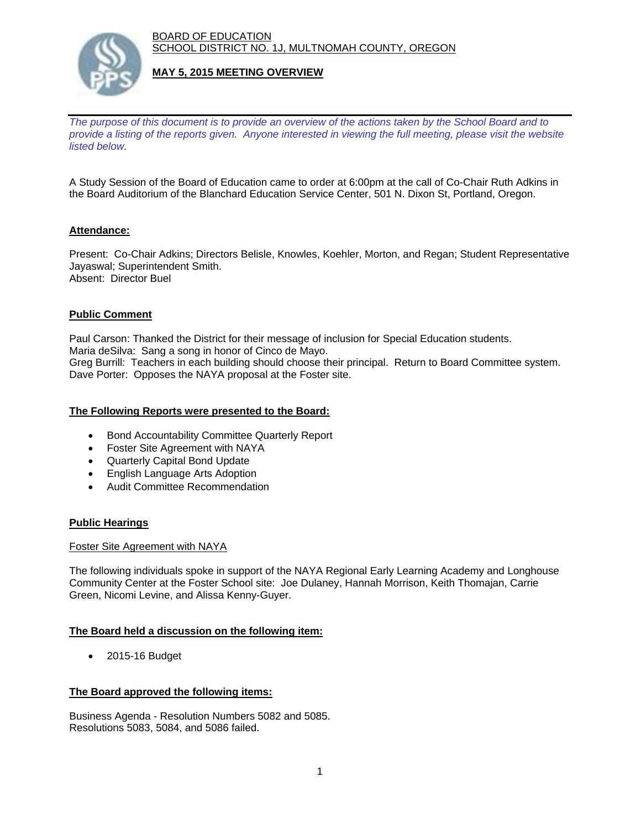BOARD OF EDUCATION SCHOOL DISTRICT NO. 1J, MULTNOMAH COUNTY, OREGON



# **MAY 5, 2015 MEETING OVERVIEW**

*The purpose of this document is to provide an overview of the actions taken by the School Board and to provide a listing of the reports given. Anyone interested in viewing the full meeting, please visit the website listed below.* 

A Study Session of the Board of Education came to order at 6:00pm at the call of Co-Chair Ruth Adkins in the Board Auditorium of the Blanchard Education Service Center, 501 N. Dixon St, Portland, Oregon.

# **Attendance:**

Present: Co-Chair Adkins; Directors Belisle, Knowles, Koehler, Morton, and Regan; Student Representative Jayaswal; Superintendent Smith. Absent: Director Buel

### **Public Comment**

Paul Carson: Thanked the District for their message of inclusion for Special Education students. Maria deSilva: Sang a song in honor of Cinco de Mayo. Greg Burrill: Teachers in each building should choose their principal. Return to Board Committee system. Dave Porter: Opposes the NAYA proposal at the Foster site.

#### **The Following Reports were presented to the Board:**

- Bond Accountability Committee Quarterly Report
- Foster Site Agreement with NAYA
- Quarterly Capital Bond Update
- English Language Arts Adoption
- Audit Committee Recommendation

#### **Public Hearings**

#### Foster Site Agreement with NAYA

The following individuals spoke in support of the NAYA Regional Early Learning Academy and Longhouse Community Center at the Foster School site: Joe Dulaney, Hannah Morrison, Keith Thomajan, Carrie Green, Nicomi Levine, and Alissa Kenny-Guyer.

#### **The Board held a discussion on the following item:**

2015-16 Budget

#### **The Board approved the following items:**

Business Agenda - Resolution Numbers 5082 and 5085. Resolutions 5083, 5084, and 5086 failed.